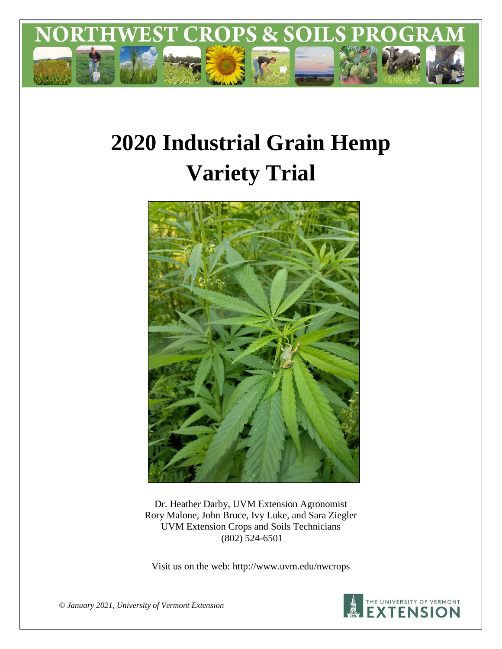

# **2020 Industrial Grain Hemp Variety Trial**



Dr. Heather Darby, UVM Extension Agronomist Rory Malone, John Bruce, Ivy Luke, and Sara Ziegler UVM Extension Crops and Soils Technicians (802) 524-6501

Visit us on the web: http://www.uvm.edu/nwcrops



*© January 2021, University of Vermont Extension*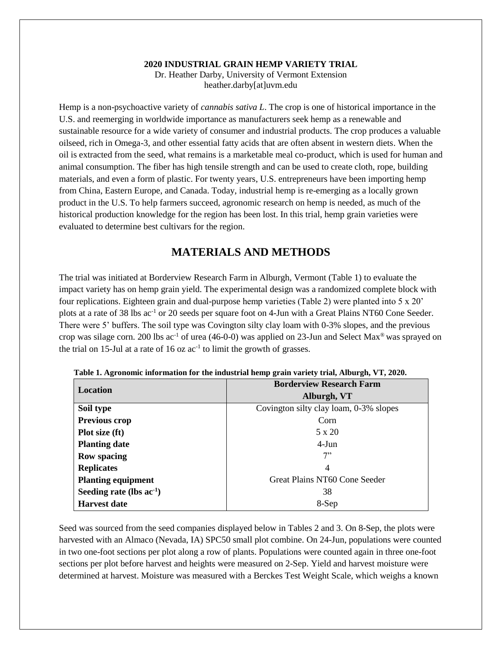#### **2020 INDUSTRIAL GRAIN HEMP VARIETY TRIAL** Dr. Heather Darby, University of Vermont Extension heather.darby[at]uvm.edu

Hemp is a non-psychoactive variety of *cannabis sativa L*. The crop is one of historical importance in the U.S. and reemerging in worldwide importance as manufacturers seek hemp as a renewable and sustainable resource for a wide variety of consumer and industrial products. The crop produces a valuable oilseed, rich in Omega-3, and other essential fatty acids that are often absent in western diets. When the oil is extracted from the seed, what remains is a marketable meal co-product, which is used for human and animal consumption. The fiber has high tensile strength and can be used to create cloth, rope, building materials, and even a form of plastic. For twenty years, U.S. entrepreneurs have been importing hemp from China, Eastern Europe, and Canada. Today, industrial hemp is re-emerging as a locally grown product in the U.S. To help farmers succeed, agronomic research on hemp is needed, as much of the historical production knowledge for the region has been lost. In this trial, hemp grain varieties were evaluated to determine best cultivars for the region.

## **MATERIALS AND METHODS**

The trial was initiated at Borderview Research Farm in Alburgh, Vermont (Table 1) to evaluate the impact variety has on hemp grain yield. The experimental design was a randomized complete block with four replications. Eighteen grain and dual-purpose hemp varieties (Table 2) were planted into 5 x 20' plots at a rate of 38 lbs ac<sup>-1</sup> or 20 seeds per square foot on 4-Jun with a Great Plains NT60 Cone Seeder. There were 5' buffers. The soil type was Covington silty clay loam with 0-3% slopes, and the previous crop was silage corn. 200 lbs ac<sup>-1</sup> of urea (46-0-0) was applied on 23-Jun and Select Max<sup>®</sup> was sprayed on the trial on 15-Jul at a rate of 16 oz  $ac^{-1}$  to limit the growth of grasses.

| Location                      | <b>Borderview Research Farm</b>        |  |  |  |
|-------------------------------|----------------------------------------|--|--|--|
|                               | Alburgh, VT                            |  |  |  |
| Soil type                     | Covington silty clay loam, 0-3% slopes |  |  |  |
| <b>Previous crop</b>          | Corn                                   |  |  |  |
| Plot size (ft)                | 5 x 20                                 |  |  |  |
| <b>Planting date</b>          | $4-Jun$                                |  |  |  |
| <b>Row spacing</b>            | 7"                                     |  |  |  |
| <b>Replicates</b>             | 4                                      |  |  |  |
| <b>Planting equipment</b>     | Great Plains NT60 Cone Seeder          |  |  |  |
| Seeding rate (lbs $ac^{-1}$ ) | 38                                     |  |  |  |
| <b>Harvest date</b>           | 8-Sep                                  |  |  |  |

**Table 1. Agronomic information for the industrial hemp grain variety trial, Alburgh, VT, 2020.**

Seed was sourced from the seed companies displayed below in Tables 2 and 3. On 8-Sep, the plots were harvested with an Almaco (Nevada, IA) SPC50 small plot combine. On 24-Jun, populations were counted in two one-foot sections per plot along a row of plants. Populations were counted again in three one-foot sections per plot before harvest and heights were measured on 2-Sep. Yield and harvest moisture were determined at harvest. Moisture was measured with a Berckes Test Weight Scale, which weighs a known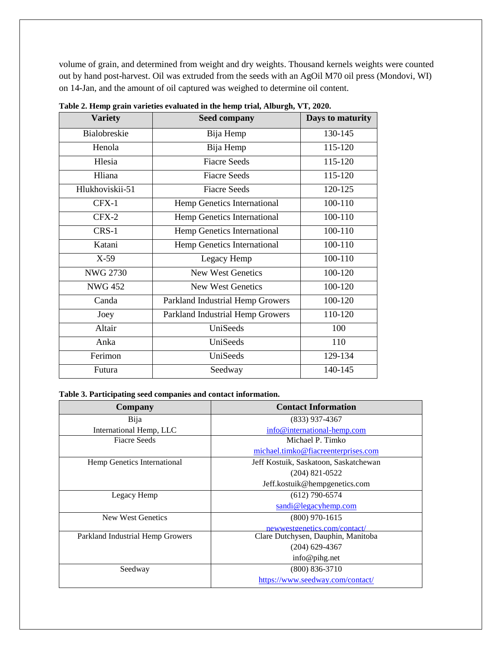volume of grain, and determined from weight and dry weights. Thousand kernels weights were counted out by hand post-harvest. Oil was extruded from the seeds with an AgOil M70 oil press (Mondovi, WI) on 14-Jan, and the amount of oil captured was weighed to determine oil content.

| <b>Variety</b>  | <b>Seed company</b>              | Days to maturity |
|-----------------|----------------------------------|------------------|
| Bialobreskie    | Bija Hemp                        | 130-145          |
| Henola          | Bija Hemp                        | 115-120          |
| Hlesia          | <b>Fiacre Seeds</b>              | 115-120          |
| Hliana          | <b>Fiacre Seeds</b>              | 115-120          |
| Hlukhoviskii-51 | <b>Fiacre Seeds</b>              | 120-125          |
| CFX-1           | Hemp Genetics International      | 100-110          |
| $CFX-2$         | Hemp Genetics International      | 100-110          |
| CRS-1           | Hemp Genetics International      | 100-110          |
| Katani          | Hemp Genetics International      | 100-110          |
| $X-59$          | Legacy Hemp                      | 100-110          |
| <b>NWG 2730</b> | <b>New West Genetics</b>         | 100-120          |
| <b>NWG 452</b>  | <b>New West Genetics</b>         | 100-120          |
| Canda           | Parkland Industrial Hemp Growers | 100-120          |
| Joey            | Parkland Industrial Hemp Growers | 110-120          |
| Altair          | UniSeeds                         | 100              |
| Anka            | UniSeeds                         | 110              |
| Ferimon         | UniSeeds                         | 129-134          |
| Futura          | Seedway                          | 140-145          |

**Table 2. Hemp grain varieties evaluated in the hemp trial, Alburgh, VT, 2020.**

#### **Table 3. Participating seed companies and contact information.**

| Company                          | <b>Contact Information</b>            |  |  |  |
|----------------------------------|---------------------------------------|--|--|--|
| Bija                             | $(833)$ 937-4367                      |  |  |  |
| International Hemp, LLC          | info@international-hemp.com           |  |  |  |
| <b>Fiacre Seeds</b>              | Michael P. Timko                      |  |  |  |
|                                  | michael.timko@fiacreenterprises.com   |  |  |  |
| Hemp Genetics International      | Jeff Kostuik, Saskatoon, Saskatchewan |  |  |  |
|                                  | $(204)$ 821-0522                      |  |  |  |
|                                  | Jeff.kostuik@hempgenetics.com         |  |  |  |
| Legacy Hemp                      | $(612)$ 790-6574                      |  |  |  |
|                                  | sandi@legacyhemp.com                  |  |  |  |
| New West Genetics                | $(800)$ 970-1615                      |  |  |  |
|                                  | newwestgenetics.com/contact/          |  |  |  |
| Parkland Industrial Hemp Growers | Clare Dutchysen, Dauphin, Manitoba    |  |  |  |
|                                  | $(204)$ 629-4367                      |  |  |  |
|                                  | info@pihg.net                         |  |  |  |
| Seedway                          | $(800)$ 836-3710                      |  |  |  |
|                                  | https://www.seedway.com/contact/      |  |  |  |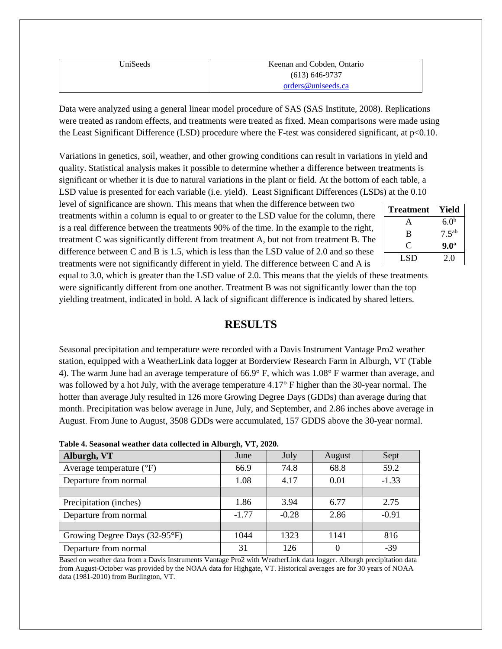| UniSeeds | Keenan and Cobden, Ontario |
|----------|----------------------------|
|          | $(613) 646 - 9737$         |
|          | orders@uniseeds.ca         |

Data were analyzed using a general linear model procedure of SAS (SAS Institute, 2008). Replications were treated as random effects, and treatments were treated as fixed. Mean comparisons were made using the Least Significant Difference (LSD) procedure where the F-test was considered significant, at p<0.10.

Variations in genetics, soil, weather, and other growing conditions can result in variations in yield and quality. Statistical analysis makes it possible to determine whether a difference between treatments is significant or whether it is due to natural variations in the plant or field. At the bottom of each table, a LSD value is presented for each variable (i.e. yield). Least Significant Differences (LSDs) at the 0.10

level of significance are shown. This means that when the difference between two treatments within a column is equal to or greater to the LSD value for the column, there is a real difference between the treatments 90% of the time. In the example to the right, treatment C was significantly different from treatment A, but not from treatment B. The difference between C and B is 1.5, which is less than the LSD value of 2.0 and so these treatments were not significantly different in yield. The difference between C and A is

| <b>Treatment</b> | Yield            |
|------------------|------------------|
| A                | 6.0 <sup>b</sup> |
| B                | $7.5^{ab}$       |
| $\mathfrak{C}$   | 9.0 <sup>a</sup> |
| LSD              | 2.0              |

equal to 3.0, which is greater than the LSD value of 2.0. This means that the yields of these treatments were significantly different from one another. Treatment B was not significantly lower than the top yielding treatment, indicated in bold. A lack of significant difference is indicated by shared letters.

## **RESULTS**

Seasonal precipitation and temperature were recorded with a Davis Instrument Vantage Pro2 weather station, equipped with a WeatherLink data logger at Borderview Research Farm in Alburgh, VT (Table 4). The warm June had an average temperature of 66.9° F, which was 1.08° F warmer than average, and was followed by a hot July, with the average temperature 4.17° F higher than the 30-year normal. The hotter than average July resulted in 126 more Growing Degree Days (GDDs) than average during that month. Precipitation was below average in June, July, and September, and 2.86 inches above average in August. From June to August, 3508 GDDs were accumulated, 157 GDDS above the 30-year normal.

| Table 7. Deasonal weather uata concettu in Anourgii, y 1, 2020. |         |         |        |         |  |  |  |
|-----------------------------------------------------------------|---------|---------|--------|---------|--|--|--|
| Alburgh, VT                                                     | June    | July    | August | Sept    |  |  |  |
| Average temperature $({}^{\circ}F)$                             | 66.9    | 74.8    | 68.8   | 59.2    |  |  |  |
| Departure from normal                                           | 1.08    | 4.17    | 0.01   | $-1.33$ |  |  |  |
|                                                                 |         |         |        |         |  |  |  |
| Precipitation (inches)                                          | 1.86    | 3.94    | 6.77   | 2.75    |  |  |  |
| Departure from normal                                           | $-1.77$ | $-0.28$ | 2.86   | $-0.91$ |  |  |  |
|                                                                 |         |         |        |         |  |  |  |
| Growing Degree Days (32-95°F)                                   | 1044    | 1323    | 1141   | 816     |  |  |  |
| Departure from normal                                           | 31      | 126     |        | $-39$   |  |  |  |

**Table 4. Seasonal weather data collected in Alburgh, VT, 2020.**

Based on weather data from a Davis Instruments Vantage Pro2 with WeatherLink data logger. Alburgh precipitation data from August-October was provided by the NOAA data for Highgate, VT. Historical averages are for 30 years of NOAA data (1981-2010) from Burlington, VT.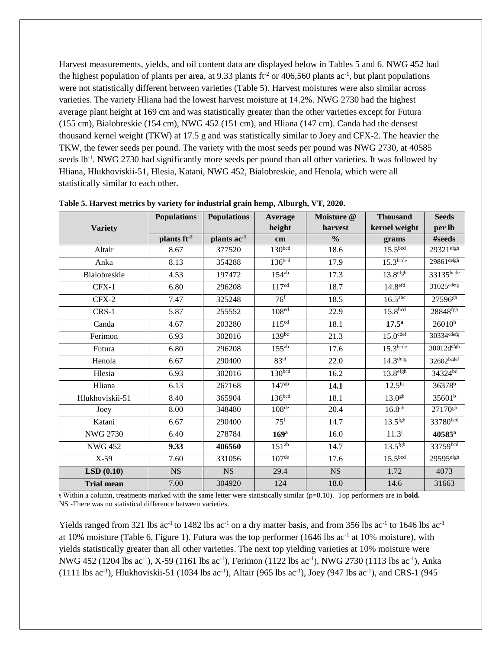Harvest measurements, yields, and oil content data are displayed below in Tables 5 and 6. NWG 452 had the highest population of plants per area, at 9.33 plants ft<sup>-2</sup> or 406,560 plants ac<sup>-1</sup>, but plant populations were not statistically different between varieties (Table 5). Harvest moistures were also similar across varieties. The variety Hliana had the lowest harvest moisture at 14.2%. NWG 2730 had the highest average plant height at 169 cm and was statistically greater than the other varieties except for Futura (155 cm), Bialobreskie (154 cm), NWG 452 (151 cm), and Hliana (147 cm). Canda had the densest thousand kernel weight (TKW) at 17.5 g and was statistically similar to Joey and CFX-2. The heavier the TKW, the fewer seeds per pound. The variety with the most seeds per pound was NWG 2730, at 40585 seeds lb<sup>-1</sup>. NWG 2730 had significantly more seeds per pound than all other varieties. It was followed by Hliana, Hlukhoviskii-51, Hlesia, Katani, NWG 452, Bialobreskie, and Henola, which were all statistically similar to each other.

|                   | <b>Populations</b> | <b>Populations</b>      | Average            | Moisture @    | <b>Thousand</b>        | <b>Seeds</b>           |
|-------------------|--------------------|-------------------------|--------------------|---------------|------------------------|------------------------|
| <b>Variety</b>    |                    |                         | height             | harvest       | kernel weight          | per lb                 |
|                   | plants $ft^2$      | plants ac <sup>-1</sup> | cm                 | $\frac{0}{0}$ | grams                  | #seeds                 |
| Altair            | 8.67               | 377520                  | 130 <sup>bcd</sup> | 18.6          | 15.5 <sup>bcd</sup>    | $29321$ efgh           |
| Anka              | 8.13               | 354288                  | 136 <sup>bcd</sup> | 17.9          | 15.3 <sup>bcde</sup>   | $29861$ defgh          |
| Bialobreskie      | 4.53               | 197472                  | $154^{ab}$         | 17.3          | 13.8 <sup>efgh</sup>   | 33135bcde              |
| CFX-1             | 6.80               | 296208                  | 117 <sup>cd</sup>  | 18.7          | 14.8 <sup>efd</sup>    | 31025 <sup>cdefg</sup> |
| $CFX-2$           | 7.47               | 325248                  | 76 <sup>f</sup>    | 18.5          | 16.5 <sup>abc</sup>    | 27596 <sup>gh</sup>    |
| CRS-1             | 5.87               | 255552                  | 108 <sup>ed</sup>  | 22.9          | 15.8 <sup>bcd</sup>    | 28848fgh               |
| Canda             | 4.67               | 203280                  | 115 <sup>cd</sup>  | 18.1          | 17.5 <sup>a</sup>      | $26010^h$              |
| Ferimon           | 6.93               | 302016                  | $139^{bc}$         | 21.3          | $15.0$ <sup>cdef</sup> | 30334cdefg             |
| Futura            | 6.80               | 296208                  | $155^{ab}$         | 17.6          | 15.3 <sup>bcde</sup>   | 30012d <sup>efgh</sup> |
| Henola            | 6.67               | 290400                  | 83 <sup>ef</sup>   | 22.0          | 14.3 <sup>defg</sup>   | $32602$ bcdef          |
| Hlesia            | 6.93               | 302016                  | 130 <sub>bcd</sub> | 16.2          | 13.8 <sup>efgh</sup>   | 34324bc                |
| Hliana            | 6.13               | 267168                  | $147^{ab}$         | 14.1          | 12.5 <sup>hi</sup>     | 36378 <sup>b</sup>     |
| Hlukhoviskii-51   | 8.40               | 365904                  | 136 <sup>bcd</sup> | 18.1          | 13.0 <sup>gh</sup>     | 35601 <sup>b</sup>     |
| Joey              | 8.00               | 348480                  | 108 <sup>de</sup>  | 20.4          | 16.8 <sup>ab</sup>     | 27170 <sup>gh</sup>    |
| Katani            | 6.67               | 290400                  | $75^{\mathrm{f}}$  | 14.7          | $13.5$ <sup>fgh</sup>  | 33780bcd               |
| <b>NWG 2730</b>   | 6.40               | 278784                  | 169 <sup>a</sup>   | 16.0          | $11.3^{i}$             | 40585 <sup>a</sup>     |
| <b>NWG 452</b>    | 9.33               | 406560                  | $151^{ab}$         | 14.7          | $13.5$ <sup>fgh</sup>  | 33759bcd               |
| $X-59$            | 7.60               | 331056                  | 107 <sup>de</sup>  | 17.6          | 15.5 <sup>bcd</sup>    | $29595$ efgh           |
| LSD(0.10)         | $_{\rm NS}$        | <b>NS</b>               | 29.4               | $_{\rm NS}$   | 1.72                   | 4073                   |
| <b>Trial mean</b> | 7.00               | 304920                  | 124                | 18.0          | 14.6                   | 31663                  |

**Table 5. Harvest metrics by variety for industrial grain hemp, Alburgh, VT, 2020.** 

ŧ Within a column, treatments marked with the same letter were statistically similar (p=0.10). Top performers are in **bold.** NS -There was no statistical difference between varieties.

Yields ranged from 321 lbs ac<sup>-1</sup> to 1482 lbs ac<sup>-1</sup> on a dry matter basis, and from 356 lbs ac<sup>-1</sup> to 1646 lbs ac<sup>-1</sup> at 10% moisture (Table 6, Figure 1). Futura was the top performer (1646 lbs ac<sup>-1</sup> at 10% moisture), with yields statistically greater than all other varieties. The next top yielding varieties at 10% moisture were NWG 452 (1204 lbs ac<sup>-1</sup>), X-59 (1161 lbs ac<sup>-1</sup>), Ferimon (1122 lbs ac<sup>-1</sup>), NWG 2730 (1113 lbs ac<sup>-1</sup>), Anka  $(1111 \text{ lbs } ac^{-1})$ , Hlukhoviskii-51 (1034 lbs ac<sup>-1</sup>), Altair (965 lbs ac<sup>-1</sup>), Joey (947 lbs ac<sup>-1</sup>), and CRS-1 (945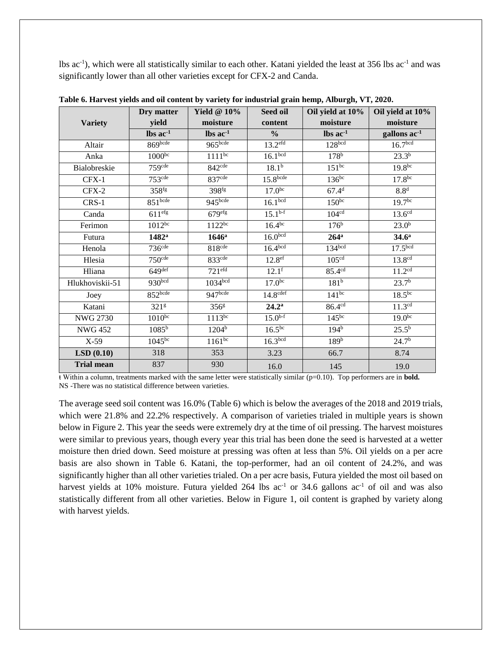lbs ac<sup>-1</sup>), which were all statistically similar to each other. Katani yielded the least at 356 lbs ac<sup>-1</sup> and was significantly lower than all other varieties except for CFX-2 and Canda.

|                   | Dry matter              | Yield $@10\%$        | Seed oil                      | Oil yield at 10%     | Oil yield at 10%        |
|-------------------|-------------------------|----------------------|-------------------------------|----------------------|-------------------------|
| <b>Variety</b>    | yield                   | moisture             | content                       | moisture             | moisture                |
|                   | $\text{lbs}$ ac $^{-1}$ | $\text{lbs}$ ac $^1$ | $\frac{0}{0}$                 | $\text{lbs}$ ac $^1$ | gallons ac <sup>1</sup> |
| Altair            | 869bcde                 | 965bcde              | 13.2 <sup>eff</sup>           | 128 <sub>bcd</sub>   | 16.7 <sup>bcd</sup>     |
| Anka              | $1000^{bc}$             | $1111^{bc}$          | 16.1 <sup>bcd</sup>           | 178 <sup>b</sup>     | $23.3^{b}$              |
| Bialobreskie      | 759 <sup>cde</sup>      | 842 <sup>cde</sup>   | 18.1 <sup>b</sup>             | $151^{bc}$           | $19.8^{bc}$             |
| $CFX-1$           | 753 <sup>cde</sup>      | 837 <sup>cde</sup>   | 15.8 <sub>bcde</sub>          | $136^{bc}$           | 17.8 <sup>bc</sup>      |
| $CFX-2$           | $358$ <sup>fg</sup>     | 398 <sup>fg</sup>    | 17.0 <sup>bc</sup>            | 67.4 <sup>d</sup>    | 8.8 <sup>d</sup>        |
| $CRS-1$           | 851 <sup>bcde</sup>     | 945bcde              | 16.1 <sup>bcd</sup>           | $150^{bc}$           | 19.7 <sup>bc</sup>      |
| Canda             | 611 <sup>efg</sup>      | 679 <sup>efg</sup>   | $15.1^{b-f}$                  | 104 <sup>cd</sup>    | 13.6 <sup>cd</sup>      |
| Ferimon           | $1012^{bc}$             | $1122^{bc}$          | $16.\overline{4^{bc}}$        | 176 <sup>b</sup>     | 23.0 <sup>b</sup>       |
| Futura            | $1482^a$                | $1646^a$             | 16.0 <sup>bcd</sup>           | $264$ <sup>a</sup>   | 34.6 <sup>a</sup>       |
| Henola            | 736 <sup>cde</sup>      | 818 <sup>cde</sup>   | 16.4 <sup>bcd</sup>           | 134 <sup>bcd</sup>   | 17.5 <sup>bcd</sup>     |
| Hlesia            | 750 <sup>cde</sup>      | 833 <sup>cde</sup>   | $12.\overline{8^{\text{ef}}}$ | 105 <sup>cd</sup>    | 13.8 <sup>cd</sup>      |
| Hliana            | $649$ <sup>def</sup>    | 721 <sup>eff</sup>   | $12.1^{\rm f}$                | 85.4 <sup>cd</sup>   | 11.2 <sup>cd</sup>      |
| Hlukhoviskii-51   | 930bcd                  | 1034 <sup>bcd</sup>  | 17.0 <sup>bc</sup>            | 181 <sup>b</sup>     | 23.7 <sup>b</sup>       |
| Joey              | $852$ <sub>bcde</sub>   | 947bcde              | 14.8 <sup>cdef</sup>          | $141^{bc}$           | $18.5^{bc}$             |
| Katani            | 321 <sup>g</sup>        | 356 <sup>g</sup>     | $24.2^{\rm a}$                | 86.4 <sup>cd</sup>   | 11.3 <sup>cd</sup>      |
| <b>NWG 2730</b>   | $1010^{bc}$             | $1113^{bc}$          | $15.0^{b-f}$                  | $145^{bc}$           | $19.0^{bc}$             |
| <b>NWG 452</b>    | $1085^{b}$              | $120\overline{4^b}$  | $16.5^{bc}$                   | $194^{\overline{b}}$ | $25.5^{b}$              |
| X-59              | $1045^{bc}$             | $1161^{bc}$          | 16.3 <sup>bcd</sup>           | 189 <sup>b</sup>     | 24.7 <sup>b</sup>       |
| LSD(0.10)         | 318                     | 353                  | 3.23                          | 66.7                 | 8.74                    |
| <b>Trial mean</b> | 837                     | 930                  | 16.0                          | 145                  | 19.0                    |

**Table 6. Harvest yields and oil content by variety for industrial grain hemp, Alburgh, VT, 2020.** 

ŧ Within a column, treatments marked with the same letter were statistically similar (p=0.10). Top performers are in **bold.** NS -There was no statistical difference between varieties.

The average seed soil content was 16.0% (Table 6) which is below the averages of the 2018 and 2019 trials, which were 21.8% and 22.2% respectively. A comparison of varieties trialed in multiple years is shown below in Figure 2. This year the seeds were extremely dry at the time of oil pressing. The harvest moistures were similar to previous years, though every year this trial has been done the seed is harvested at a wetter moisture then dried down. Seed moisture at pressing was often at less than 5%. Oil yields on a per acre basis are also shown in Table 6. Katani, the top-performer, had an oil content of 24.2%, and was significantly higher than all other varieties trialed. On a per acre basis, Futura yielded the most oil based on harvest yields at 10% moisture. Futura yielded 264 lbs ac<sup>-1</sup> or 34.6 gallons ac<sup>-1</sup> of oil and was also statistically different from all other varieties. Below in Figure 1, oil content is graphed by variety along with harvest yields.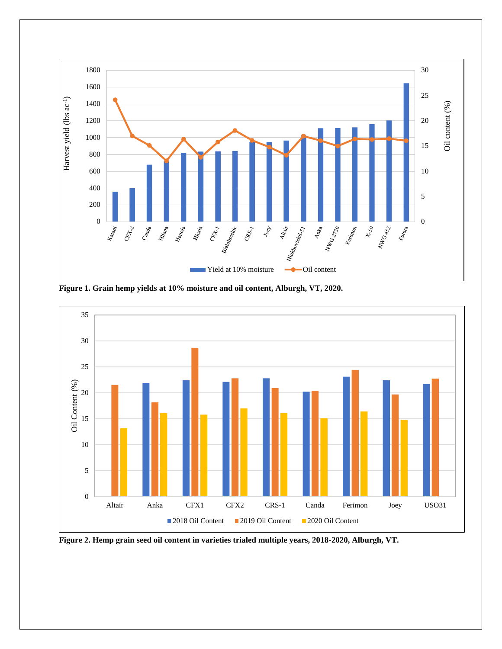

**Figure 1. Grain hemp yields at 10% moisture and oil content, Alburgh, VT, 2020.** 



**Figure 2. Hemp grain seed oil content in varieties trialed multiple years, 2018-2020, Alburgh, VT.**